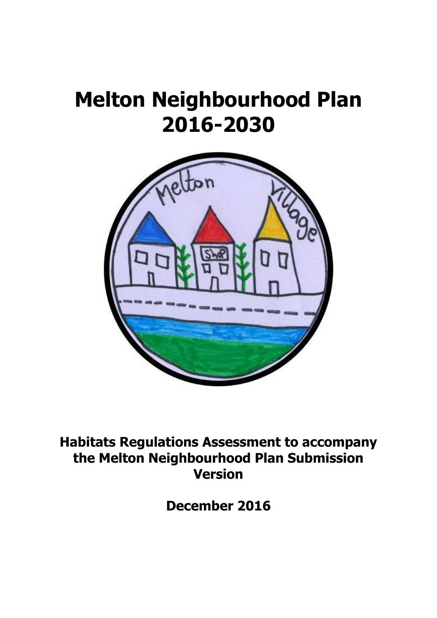# **Melton Neighbourhood Plan 2016-2030**



**Habitats Regulations Assessment to accompany the Melton Neighbourhood Plan Submission Version**

**December 2016**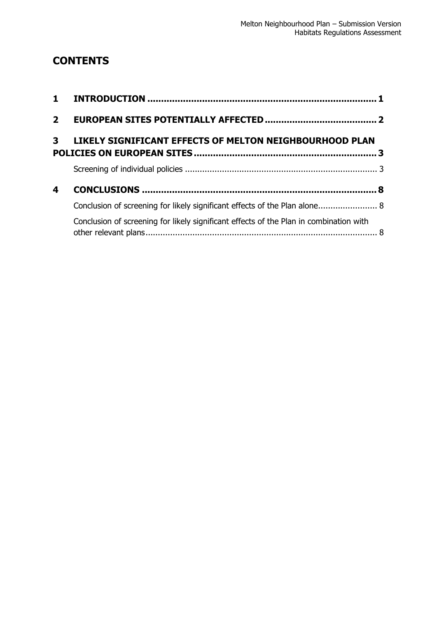## **CONTENTS**

| 2 <sup>7</sup> |                                                                                        |  |
|----------------|----------------------------------------------------------------------------------------|--|
|                | 3 LIKELY SIGNIFICANT EFFECTS OF MELTON NEIGHBOURHOOD PLAN                              |  |
|                |                                                                                        |  |
| 4              |                                                                                        |  |
|                | Conclusion of screening for likely significant effects of the Plan alone 8             |  |
|                | Conclusion of screening for likely significant effects of the Plan in combination with |  |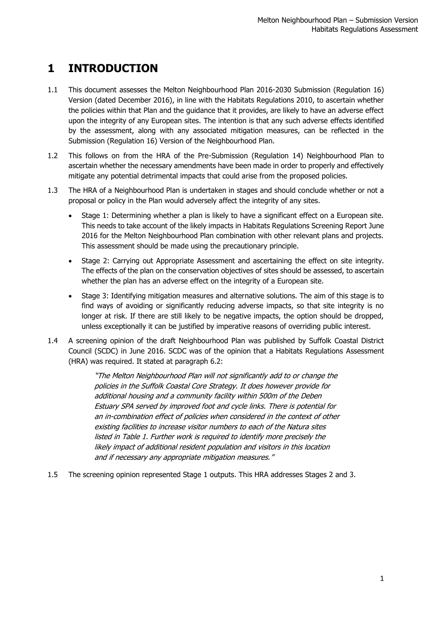# <span id="page-2-0"></span>**1 INTRODUCTION**

- 1.1 This document assesses the Melton Neighbourhood Plan 2016-2030 Submission (Regulation 16) Version (dated December 2016), in line with the Habitats Regulations 2010, to ascertain whether the policies within that Plan and the guidance that it provides, are likely to have an adverse effect upon the integrity of any European sites. The intention is that any such adverse effects identified by the assessment, along with any associated mitigation measures, can be reflected in the Submission (Regulation 16) Version of the Neighbourhood Plan.
- 1.2 This follows on from the HRA of the Pre-Submission (Regulation 14) Neighbourhood Plan to ascertain whether the necessary amendments have been made in order to properly and effectively mitigate any potential detrimental impacts that could arise from the proposed policies.
- 1.3 The HRA of a Neighbourhood Plan is undertaken in stages and should conclude whether or not a proposal or policy in the Plan would adversely affect the integrity of any sites.
	- Stage 1: Determining whether a plan is likely to have a significant effect on a European site. This needs to take account of the likely impacts in Habitats Regulations Screening Report June 2016 for the Melton Neighbourhood Plan combination with other relevant plans and projects. This assessment should be made using the precautionary principle.
	- Stage 2: Carrying out Appropriate Assessment and ascertaining the effect on site integrity. The effects of the plan on the conservation objectives of sites should be assessed, to ascertain whether the plan has an adverse effect on the integrity of a European site.
	- Stage 3: Identifying mitigation measures and alternative solutions. The aim of this stage is to find ways of avoiding or significantly reducing adverse impacts, so that site integrity is no longer at risk. If there are still likely to be negative impacts, the option should be dropped, unless exceptionally it can be justified by imperative reasons of overriding public interest.
- 1.4 A screening opinion of the draft Neighbourhood Plan was published by Suffolk Coastal District Council (SCDC) in June 2016. SCDC was of the opinion that a Habitats Regulations Assessment (HRA) was required. It stated at paragraph 6.2:

"The Melton Neighbourhood Plan will not significantly add to or change the policies in the Suffolk Coastal Core Strategy. It does however provide for additional housing and a community facility within 500m of the Deben Estuary SPA served by improved foot and cycle links. There is potential for an in-combination effect of policies when considered in the context of other existing facilities to increase visitor numbers to each of the Natura sites listed in Table 1. Further work is required to identify more precisely the likely impact of additional resident population and visitors in this location and if necessary any appropriate mitigation measures."

1.5 The screening opinion represented Stage 1 outputs. This HRA addresses Stages 2 and 3.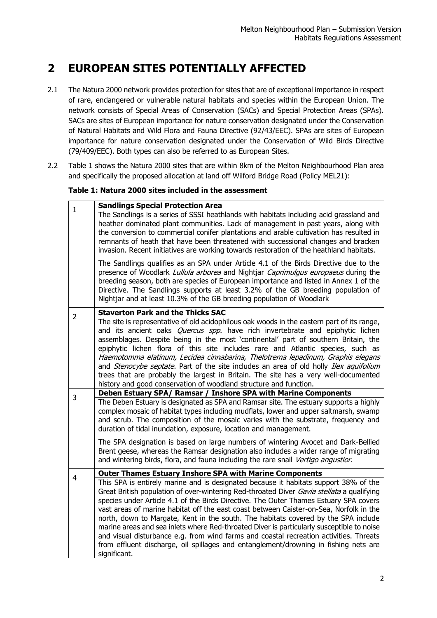# <span id="page-3-0"></span>**2 EUROPEAN SITES POTENTIALLY AFFECTED**

- 2.1 The Natura 2000 network provides protection for sites that are of exceptional importance in respect of rare, endangered or vulnerable natural habitats and species within the European Union. The network consists of Special Areas of Conservation (SACs) and Special Protection Areas (SPAs). SACs are sites of European importance for nature conservation designated under the Conservation of Natural Habitats and Wild Flora and Fauna Directive (92/43/EEC). SPAs are sites of European importance for nature conservation designated under the Conservation of Wild Birds Directive (79/409/EEC). Both types can also be referred to as European Sites.
- 2.2 Table 1 shows the Natura 2000 sites that are within 8km of the Melton Neighbourhood Plan area and specifically the proposed allocation at land off Wilford Bridge Road (Policy MEL21):

#### **Table 1: Natura 2000 sites included in the assessment**

| $\mathbf{1}$   | <b>Sandlings Special Protection Area</b>                                                                                                                                                                                                                                                                                                                                                                                                                                                                                                                                                                                                                                                                                                                  |
|----------------|-----------------------------------------------------------------------------------------------------------------------------------------------------------------------------------------------------------------------------------------------------------------------------------------------------------------------------------------------------------------------------------------------------------------------------------------------------------------------------------------------------------------------------------------------------------------------------------------------------------------------------------------------------------------------------------------------------------------------------------------------------------|
|                | The Sandlings is a series of SSSI heathlands with habitats including acid grassland and<br>heather dominated plant communities. Lack of management in past years, along with<br>the conversion to commercial conifer plantations and arable cultivation has resulted in<br>remnants of heath that have been threatened with successional changes and bracken<br>invasion. Recent initiatives are working towards restoration of the heathland habitats.                                                                                                                                                                                                                                                                                                   |
|                | The Sandlings qualifies as an SPA under Article 4.1 of the Birds Directive due to the<br>presence of Woodlark Lullula arborea and Nightjar Caprimulgus europaeus during the<br>breeding season, both are species of European importance and listed in Annex 1 of the<br>Directive. The Sandlings supports at least 3.2% of the GB breeding population of<br>Nightjar and at least 10.3% of the GB breeding population of Woodlark                                                                                                                                                                                                                                                                                                                         |
| $\overline{2}$ | <b>Staverton Park and the Thicks SAC</b>                                                                                                                                                                                                                                                                                                                                                                                                                                                                                                                                                                                                                                                                                                                  |
|                | The site is representative of old acidophilous oak woods in the eastern part of its range,<br>and its ancient oaks <i>Quercus spp</i> . have rich invertebrate and epiphytic lichen<br>assemblages. Despite being in the most 'continental' part of southern Britain, the<br>epiphytic lichen flora of this site includes rare and Atlantic species, such as<br>Haemotomma elatinum, Lecidea cinnabarina, Thelotrema lepadinum, Graphis elegans<br>and Stenocybe septate. Part of the site includes an area of old holly Ilex aquifolium<br>trees that are probably the largest in Britain. The site has a very well-documented<br>history and good conservation of woodland structure and function.                                                      |
| 3              | Deben Estuary SPA/ Ramsar / Inshore SPA with Marine Components                                                                                                                                                                                                                                                                                                                                                                                                                                                                                                                                                                                                                                                                                            |
|                | The Deben Estuary is designated as SPA and Ramsar site. The estuary supports a highly<br>complex mosaic of habitat types including mudflats, lower and upper saltmarsh, swamp<br>and scrub. The composition of the mosaic varies with the substrate, frequency and<br>duration of tidal inundation, exposure, location and management.                                                                                                                                                                                                                                                                                                                                                                                                                    |
|                | The SPA designation is based on large numbers of wintering Avocet and Dark-Bellied<br>Brent geese, whereas the Ramsar designation also includes a wider range of migrating<br>and wintering birds, flora, and fauna including the rare snail Vertigo angustior.                                                                                                                                                                                                                                                                                                                                                                                                                                                                                           |
| 4              | <b>Outer Thames Estuary Inshore SPA with Marine Components</b>                                                                                                                                                                                                                                                                                                                                                                                                                                                                                                                                                                                                                                                                                            |
|                | This SPA is entirely marine and is designated because it habitats support 38% of the<br>Great British population of over-wintering Red-throated Diver Gavia stellata a qualifying<br>species under Article 4.1 of the Birds Directive. The Outer Thames Estuary SPA covers<br>vast areas of marine habitat off the east coast between Caister-on-Sea, Norfolk in the<br>north, down to Margate, Kent in the south. The habitats covered by the SPA include<br>marine areas and sea inlets where Red-throated Diver is particularly susceptible to noise<br>and visual disturbance e.g. from wind farms and coastal recreation activities. Threats<br>from effluent discharge, oil spillages and entanglement/drowning in fishing nets are<br>significant. |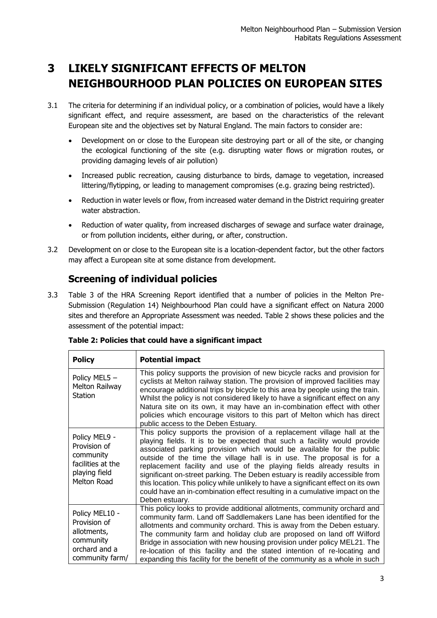## <span id="page-4-0"></span>**3 LIKELY SIGNIFICANT EFFECTS OF MELTON NEIGHBOURHOOD PLAN POLICIES ON EUROPEAN SITES**

- 3.1 The criteria for determining if an individual policy, or a combination of policies, would have a likely significant effect, and require assessment, are based on the characteristics of the relevant European site and the objectives set by Natural England. The main factors to consider are:
	- Development on or close to the European site destroying part or all of the site, or changing the ecological functioning of the site (e.g. disrupting water flows or migration routes, or providing damaging levels of air pollution)
	- Increased public recreation, causing disturbance to birds, damage to vegetation, increased littering/flytipping, or leading to management compromises (e.g. grazing being restricted).
	- Reduction in water levels or flow, from increased water demand in the District requiring greater water abstraction.
	- Reduction of water quality, from increased discharges of sewage and surface water drainage, or from pollution incidents, either during, or after, construction.
- 3.2 Development on or close to the European site is a location-dependent factor, but the other factors may affect a European site at some distance from development.

### <span id="page-4-1"></span>**Screening of individual policies**

3.3 Table 3 of the HRA Screening Report identified that a number of policies in the Melton Pre-Submission (Regulation 14) Neighbourhood Plan could have a significant effect on Natura 2000 sites and therefore an Appropriate Assessment was needed. Table 2 shows these policies and the assessment of the potential impact:

| <b>Policy</b>                                                                                   | <b>Potential impact</b>                                                                                                                                                                                                                                                                                                                                                                                                                                                                                                                                                                                                                           |
|-------------------------------------------------------------------------------------------------|---------------------------------------------------------------------------------------------------------------------------------------------------------------------------------------------------------------------------------------------------------------------------------------------------------------------------------------------------------------------------------------------------------------------------------------------------------------------------------------------------------------------------------------------------------------------------------------------------------------------------------------------------|
| Policy MEL5 -<br>Melton Railway<br><b>Station</b>                                               | This policy supports the provision of new bicycle racks and provision for<br>cyclists at Melton railway station. The provision of improved facilities may<br>encourage additional trips by bicycle to this area by people using the train.<br>Whilst the policy is not considered likely to have a significant effect on any<br>Natura site on its own, it may have an in-combination effect with other<br>policies which encourage visitors to this part of Melton which has direct<br>public access to the Deben Estuary.                                                                                                                       |
| Policy MEL9 -<br>Provision of<br>community<br>facilities at the<br>playing field<br>Melton Road | This policy supports the provision of a replacement village hall at the<br>playing fields. It is to be expected that such a facility would provide<br>associated parking provision which would be available for the public<br>outside of the time the village hall is in use. The proposal is for a<br>replacement facility and use of the playing fields already results in<br>significant on-street parking. The Deben estuary is readily accessible from<br>this location. This policy while unlikely to have a significant effect on its own<br>could have an in-combination effect resulting in a cumulative impact on the<br>Deben estuary. |
| Policy MEL10 -<br>Provision of<br>allotments,<br>community<br>orchard and a<br>community farm/  | This policy looks to provide additional allotments, community orchard and<br>community farm. Land off Saddlemakers Lane has been identified for the<br>allotments and community orchard. This is away from the Deben estuary.<br>The community farm and holiday club are proposed on land off Wilford<br>Bridge in association with new housing provision under policy MEL21. The<br>re-location of this facility and the stated intention of re-locating and<br>expanding this facility for the benefit of the community as a whole in such                                                                                                      |

| Table 2: Policies that could have a significant impact |  |
|--------------------------------------------------------|--|
|--------------------------------------------------------|--|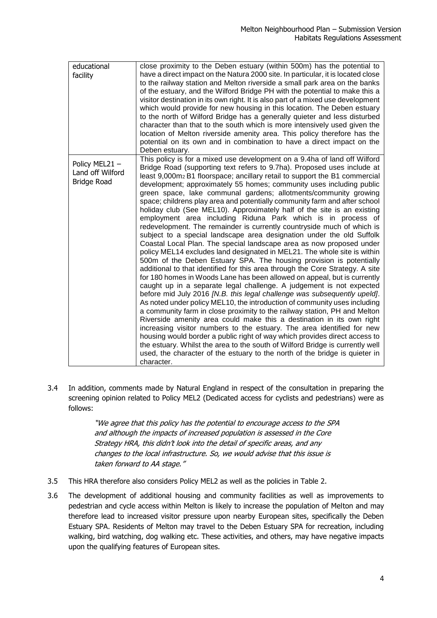| educational<br>facility                                 | close proximity to the Deben estuary (within 500m) has the potential to<br>have a direct impact on the Natura 2000 site. In particular, it is located close<br>to the railway station and Melton riverside a small park area on the banks<br>of the estuary, and the Wilford Bridge PH with the potential to make this a<br>visitor destination in its own right. It is also part of a mixed use development<br>which would provide for new housing in this location. The Deben estuary<br>to the north of Wilford Bridge has a generally quieter and less disturbed<br>character than that to the south which is more intensively used given the<br>location of Melton riverside amenity area. This policy therefore has the<br>potential on its own and in combination to have a direct impact on the<br>Deben estuary.                                                                                                                                                                                                                                                                                                                                                                                                                                                                                                                                                                                                                                                                                                                                                                                                                                                                                                                                                                                                                                                                   |
|---------------------------------------------------------|---------------------------------------------------------------------------------------------------------------------------------------------------------------------------------------------------------------------------------------------------------------------------------------------------------------------------------------------------------------------------------------------------------------------------------------------------------------------------------------------------------------------------------------------------------------------------------------------------------------------------------------------------------------------------------------------------------------------------------------------------------------------------------------------------------------------------------------------------------------------------------------------------------------------------------------------------------------------------------------------------------------------------------------------------------------------------------------------------------------------------------------------------------------------------------------------------------------------------------------------------------------------------------------------------------------------------------------------------------------------------------------------------------------------------------------------------------------------------------------------------------------------------------------------------------------------------------------------------------------------------------------------------------------------------------------------------------------------------------------------------------------------------------------------------------------------------------------------------------------------------------------------|
| Policy MEL21-<br>Land off Wilford<br><b>Bridge Road</b> | This policy is for a mixed use development on a 9.4ha of land off Wilford<br>Bridge Road (supporting text refers to 9.7ha). Proposed uses include at<br>least 9,000m <sub>2</sub> B1 floorspace; ancillary retail to support the B1 commercial<br>development; approximately 55 homes; community uses including public<br>green space, lake communal gardens; allotments/community growing<br>space; childrens play area and potentially community farm and after school<br>holiday club (See MEL10). Approximately half of the site is an existing<br>employment area including Riduna Park which is in process of<br>redevelopment. The remainder is currently countryside much of which is<br>subject to a special landscape area designation under the old Suffolk<br>Coastal Local Plan. The special landscape area as now proposed under<br>policy MEL14 excludes land designated in MEL21. The whole site is within<br>500m of the Deben Estuary SPA. The housing provision is potentially<br>additional to that identified for this area through the Core Strategy. A site<br>for 180 homes in Woods Lane has been allowed on appeal, but is currently<br>caught up in a separate legal challenge. A judgement is not expected<br>before mid July 2016 [N.B. this legal challenge was subsequently upeld].<br>As noted under policy MEL10, the introduction of community uses including<br>a community farm in close proximity to the railway station, PH and Melton<br>Riverside amenity area could make this a destination in its own right<br>increasing visitor numbers to the estuary. The area identified for new<br>housing would border a public right of way which provides direct access to<br>the estuary. Whilst the area to the south of Wilford Bridge is currently well<br>used, the character of the estuary to the north of the bridge is quieter in<br>character. |

3.4 In addition, comments made by Natural England in respect of the consultation in preparing the screening opinion related to Policy MEL2 (Dedicated access for cyclists and pedestrians) were as follows:

> "We agree that this policy has the potential to encourage access to the SPA and although the impacts of increased population is assessed in the Core Strategy HRA, this didn't look into the detail of specific areas, and any changes to the local infrastructure. So, we would advise that this issue is taken forward to AA stage."

- 3.5 This HRA therefore also considers Policy MEL2 as well as the policies in Table 2.
- 3.6 The development of additional housing and community facilities as well as improvements to pedestrian and cycle access within Melton is likely to increase the population of Melton and may therefore lead to increased visitor pressure upon nearby European sites, specifically the Deben Estuary SPA. Residents of Melton may travel to the Deben Estuary SPA for recreation, including walking, bird watching, dog walking etc. These activities, and others, may have negative impacts upon the qualifying features of European sites.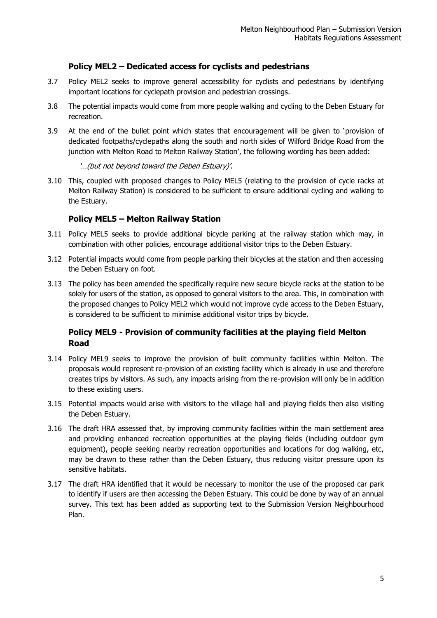#### **Policy MEL2 – Dedicated access for cyclists and pedestrians**

- 3.7 Policy MEL2 seeks to improve general accessibility for cyclists and pedestrians by identifying important locations for cyclepath provision and pedestrian crossings.
- 3.8 The potential impacts would come from more people walking and cycling to the Deben Estuary for recreation.
- 3.9 At the end of the bullet point which states that encouragement will be given to 'provision of dedicated footpaths/cyclepaths along the south and north sides of Wilford Bridge Road from the junction with Melton Road to Melton Railway Station', the following wording has been added:

#### '…(but not beyond toward the Deben Estuary)'.

3.10 This, coupled with proposed changes to Policy MEL5 (relating to the provision of cycle racks at Melton Railway Station) is considered to be sufficient to ensure additional cycling and walking to the Estuary.

#### **Policy MEL5 – Melton Railway Station**

- 3.11 Policy MEL5 seeks to provide additional bicycle parking at the railway station which may, in combination with other policies, encourage additional visitor trips to the Deben Estuary.
- 3.12 Potential impacts would come from people parking their bicycles at the station and then accessing the Deben Estuary on foot.
- 3.13 The policy has been amended the specifically require new secure bicycle racks at the station to be solely for users of the station, as opposed to general visitors to the area. This, in combination with the proposed changes to Policy MEL2 which would not improve cycle access to the Deben Estuary, is considered to be sufficient to minimise additional visitor trips by bicycle.

#### **Policy MEL9 - Provision of community facilities at the playing field Melton Road**

- 3.14 Policy MEL9 seeks to improve the provision of built community facilities within Melton. The proposals would represent re-provision of an existing facility which is already in use and therefore creates trips by visitors. As such, any impacts arising from the re-provision will only be in addition to these existing users.
- 3.15 Potential impacts would arise with visitors to the village hall and playing fields then also visiting the Deben Estuary.
- 3.16 The draft HRA assessed that, by improving community facilities within the main settlement area and providing enhanced recreation opportunities at the playing fields (including outdoor gym equipment), people seeking nearby recreation opportunities and locations for dog walking, etc, may be drawn to these rather than the Deben Estuary, thus reducing visitor pressure upon its sensitive habitats.
- 3.17 The draft HRA identified that it would be necessary to monitor the use of the proposed car park to identify if users are then accessing the Deben Estuary. This could be done by way of an annual survey. This text has been added as supporting text to the Submission Version Neighbourhood Plan.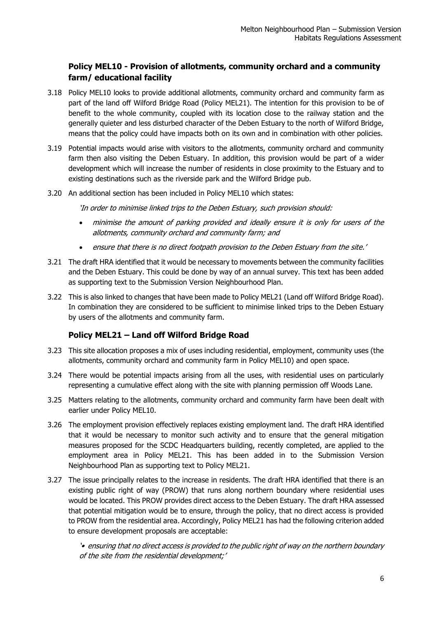#### **Policy MEL10 - Provision of allotments, community orchard and a community farm/ educational facility**

- 3.18 Policy MEL10 looks to provide additional allotments, community orchard and community farm as part of the land off Wilford Bridge Road (Policy MEL21). The intention for this provision to be of benefit to the whole community, coupled with its location close to the railway station and the generally quieter and less disturbed character of the Deben Estuary to the north of Wilford Bridge, means that the policy could have impacts both on its own and in combination with other policies.
- 3.19 Potential impacts would arise with visitors to the allotments, community orchard and community farm then also visiting the Deben Estuary. In addition, this provision would be part of a wider development which will increase the number of residents in close proximity to the Estuary and to existing destinations such as the riverside park and the Wilford Bridge pub.
- 3.20 An additional section has been included in Policy MEL10 which states:

'In order to minimise linked trips to the Deben Estuary, such provision should:

- minimise the amount of parking provided and ideally ensure it is only for users of the allotments, community orchard and community farm; and
- ensure that there is no direct footpath provision to the Deben Estuary from the site.'
- 3.21 The draft HRA identified that it would be necessary to movements between the community facilities and the Deben Estuary. This could be done by way of an annual survey. This text has been added as supporting text to the Submission Version Neighbourhood Plan.
- 3.22 This is also linked to changes that have been made to Policy MEL21 (Land off Wilford Bridge Road). In combination they are considered to be sufficient to minimise linked trips to the Deben Estuary by users of the allotments and community farm.

#### **Policy MEL21 – Land off Wilford Bridge Road**

- 3.23 This site allocation proposes a mix of uses including residential, employment, community uses (the allotments, community orchard and community farm in Policy MEL10) and open space.
- 3.24 There would be potential impacts arising from all the uses, with residential uses on particularly representing a cumulative effect along with the site with planning permission off Woods Lane.
- 3.25 Matters relating to the allotments, community orchard and community farm have been dealt with earlier under Policy MEL10.
- 3.26 The employment provision effectively replaces existing employment land. The draft HRA identified that it would be necessary to monitor such activity and to ensure that the general mitigation measures proposed for the SCDC Headquarters building, recently completed, are applied to the employment area in Policy MEL21. This has been added in to the Submission Version Neighbourhood Plan as supporting text to Policy MEL21.
- 3.27 The issue principally relates to the increase in residents. The draft HRA identified that there is an existing public right of way (PROW) that runs along northern boundary where residential uses would be located. This PROW provides direct access to the Deben Estuary. The draft HRA assessed that potential mitigation would be to ensure, through the policy, that no direct access is provided to PROW from the residential area. Accordingly, Policy MEL21 has had the following criterion added to ensure development proposals are acceptable:

'• ensuring that no direct access is provided to the public right of way on the northern boundary of the site from the residential development;'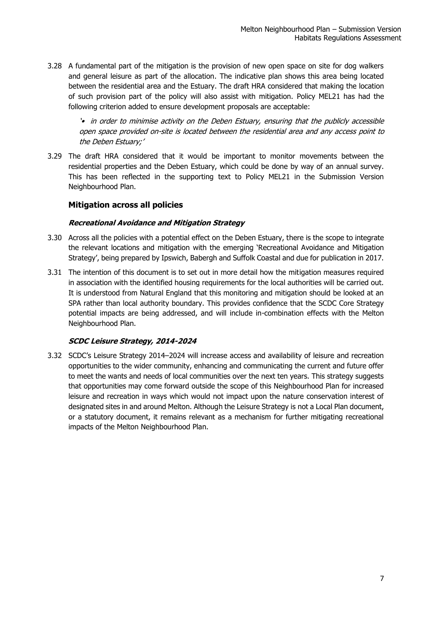3.28 A fundamental part of the mitigation is the provision of new open space on site for dog walkers and general leisure as part of the allocation. The indicative plan shows this area being located between the residential area and the Estuary. The draft HRA considered that making the location of such provision part of the policy will also assist with mitigation. Policy MEL21 has had the following criterion added to ensure development proposals are acceptable:

'• in order to minimise activity on the Deben Estuary, ensuring that the publicly accessible open space provided on-site is located between the residential area and any access point to the Deben Estuary;'

3.29 The draft HRA considered that it would be important to monitor movements between the residential properties and the Deben Estuary, which could be done by way of an annual survey. This has been reflected in the supporting text to Policy MEL21 in the Submission Version Neighbourhood Plan.

#### **Mitigation across all policies**

#### **Recreational Avoidance and Mitigation Strategy**

- 3.30 Across all the policies with a potential effect on the Deben Estuary, there is the scope to integrate the relevant locations and mitigation with the emerging 'Recreational Avoidance and Mitigation Strategy', being prepared by Ipswich, Babergh and Suffolk Coastal and due for publication in 2017.
- 3.31 The intention of this document is to set out in more detail how the mitigation measures required in association with the identified housing requirements for the local authorities will be carried out. It is understood from Natural England that this monitoring and mitigation should be looked at an SPA rather than local authority boundary. This provides confidence that the SCDC Core Strategy potential impacts are being addressed, and will include in-combination effects with the Melton Neighbourhood Plan.

#### **SCDC Leisure Strategy, 2014-2024**

3.32 SCDC's Leisure Strategy 2014–2024 will increase access and availability of leisure and recreation opportunities to the wider community, enhancing and communicating the current and future offer to meet the wants and needs of local communities over the next ten years. This strategy suggests that opportunities may come forward outside the scope of this Neighbourhood Plan for increased leisure and recreation in ways which would not impact upon the nature conservation interest of designated sites in and around Melton. Although the Leisure Strategy is not a Local Plan document, or a statutory document, it remains relevant as a mechanism for further mitigating recreational impacts of the Melton Neighbourhood Plan.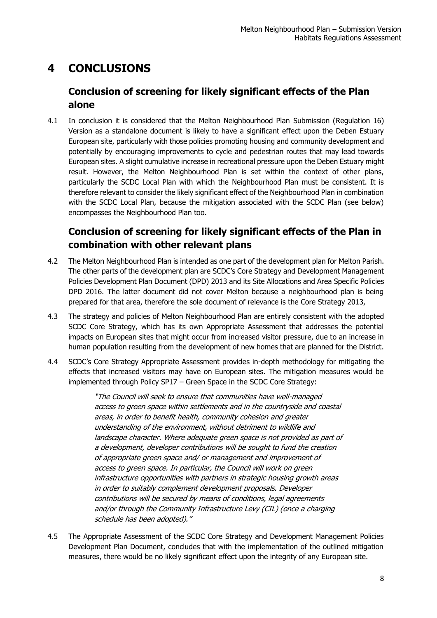# <span id="page-9-0"></span>**4 CONCLUSIONS**

## <span id="page-9-1"></span>**Conclusion of screening for likely significant effects of the Plan alone**

4.1 In conclusion it is considered that the Melton Neighbourhood Plan Submission (Regulation 16) Version as a standalone document is likely to have a significant effect upon the Deben Estuary European site, particularly with those policies promoting housing and community development and potentially by encouraging improvements to cycle and pedestrian routes that may lead towards European sites. A slight cumulative increase in recreational pressure upon the Deben Estuary might result. However, the Melton Neighbourhood Plan is set within the context of other plans, particularly the SCDC Local Plan with which the Neighbourhood Plan must be consistent. It is therefore relevant to consider the likely significant effect of the Neighbourhood Plan in combination with the SCDC Local Plan, because the mitigation associated with the SCDC Plan (see below) encompasses the Neighbourhood Plan too.

## <span id="page-9-2"></span>**Conclusion of screening for likely significant effects of the Plan in combination with other relevant plans**

- 4.2 The Melton Neighbourhood Plan is intended as one part of the development plan for Melton Parish. The other parts of the development plan are SCDC's Core Strategy and Development Management Policies Development Plan Document (DPD) 2013 and its Site Allocations and Area Specific Policies DPD 2016. The latter document did not cover Melton because a neighbourhood plan is being prepared for that area, therefore the sole document of relevance is the Core Strategy 2013,
- 4.3 The strategy and policies of Melton Neighbourhood Plan are entirely consistent with the adopted SCDC Core Strategy, which has its own Appropriate Assessment that addresses the potential impacts on European sites that might occur from increased visitor pressure, due to an increase in human population resulting from the development of new homes that are planned for the District.
- 4.4 SCDC's Core Strategy Appropriate Assessment provides in-depth methodology for mitigating the effects that increased visitors may have on European sites. The mitigation measures would be implemented through Policy SP17 – Green Space in the SCDC Core Strategy:

"The Council will seek to ensure that communities have well-managed access to green space within settlements and in the countryside and coastal areas, in order to benefit health, community cohesion and greater understanding of the environment, without detriment to wildlife and landscape character. Where adequate green space is not provided as part of a development, developer contributions will be sought to fund the creation of appropriate green space and/ or management and improvement of access to green space. In particular, the Council will work on green infrastructure opportunities with partners in strategic housing growth areas in order to suitably complement development proposals. Developer contributions will be secured by means of conditions, legal agreements and/or through the Community Infrastructure Levy (CIL) (once a charging schedule has been adopted)."

4.5 The Appropriate Assessment of the SCDC Core Strategy and Development Management Policies Development Plan Document, concludes that with the implementation of the outlined mitigation measures, there would be no likely significant effect upon the integrity of any European site.